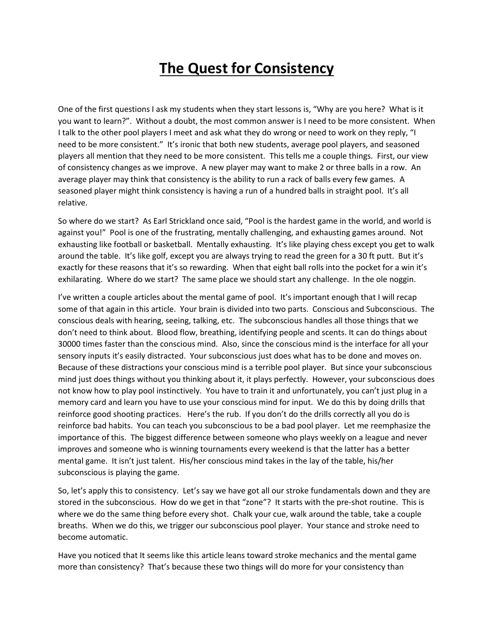## **The Quest for Consistency**

One of the first questions I ask my students when they start lessons is, "Why are you here? What is it you want to learn?". Without a doubt, the most common answer is I need to be more consistent. When I talk to the other pool players I meet and ask what they do wrong or need to work on they reply, "I need to be more consistent." It's ironic that both new students, average pool players, and seasoned players all mention that they need to be more consistent. This tells me a couple things. First, our view of consistency changes as we improve. A new player may want to make 2 or three balls in a row. An average player may think that consistency is the ability to run a rack of balls every few games. A seasoned player might think consistency is having a run of a hundred balls in straight pool. It's all relative.

So where do we start? As Earl Strickland once said, "Pool is the hardest game in the world, and world is against you!" Pool is one of the frustrating, mentally challenging, and exhausting games around. Not exhausting like football or basketball. Mentally exhausting. It's like playing chess except you get to walk around the table. It's like golf, except you are always trying to read the green for a 30 ft putt. But it's exactly for these reasons that it's so rewarding. When that eight ball rolls into the pocket for a win it's exhilarating. Where do we start? The same place we should start any challenge. In the ole noggin.

I've written a couple articles about the mental game of pool. It's important enough that I will recap some of that again in this article. Your brain is divided into two parts. Conscious and Subconscious. The conscious deals with hearing, seeing, talking, etc. The subconscious handles all those things that we don't need to think about. Blood flow, breathing, identifying people and scents. It can do things about 30000 times faster than the conscious mind. Also, since the conscious mind is the interface for all your sensory inputs it's easily distracted. Your subconscious just does what has to be done and moves on. Because of these distractions your conscious mind is a terrible pool player. But since your subconscious mind just does things without you thinking about it, it plays perfectly. However, your subconscious does not know how to play pool instinctively. You have to train it and unfortunately, you can't just plug in a memory card and learn you have to use your conscious mind for input. We do this by doing drills that reinforce good shooting practices. Here's the rub. If you don't do the drills correctly all you do is reinforce bad habits. You can teach you subconscious to be a bad pool player. Let me reemphasize the importance of this. The biggest difference between someone who plays weekly on a league and never improves and someone who is winning tournaments every weekend is that the latter has a better mental game. It isn't just talent. His/her conscious mind takes in the lay of the table, his/her subconscious is playing the game.

So, let's apply this to consistency. Let's say we have got all our stroke fundamentals down and they are stored in the subconscious. How do we get in that "zone"? It starts with the pre-shot routine. This is where we do the same thing before every shot. Chalk your cue, walk around the table, take a couple breaths. When we do this, we trigger our subconscious pool player. Your stance and stroke need to become automatic.

Have you noticed that It seems like this article leans toward stroke mechanics and the mental game more than consistency? That's because these two things will do more for your consistency than